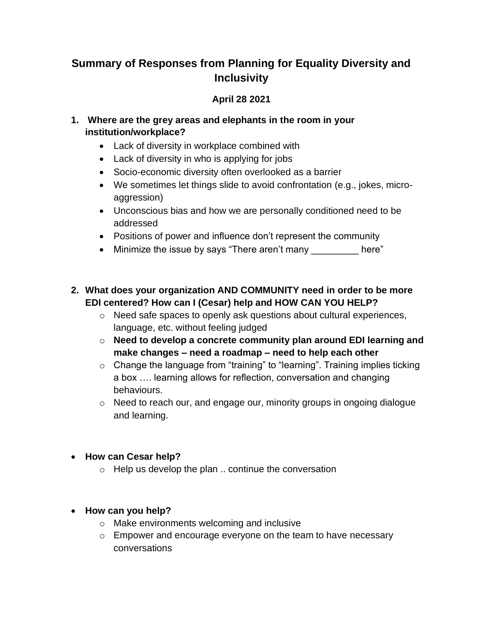## **Summary of Responses from Planning for Equality Diversity and Inclusivity**

## **April 28 2021**

## **1. Where are the grey areas and elephants in the room in your institution/workplace?**

- Lack of diversity in workplace combined with
- Lack of diversity in who is applying for jobs
- Socio-economic diversity often overlooked as a barrier
- We sometimes let things slide to avoid confrontation (e.g., jokes, microaggression)
- Unconscious bias and how we are personally conditioned need to be addressed
- Positions of power and influence don't represent the community
- Minimize the issue by says "There aren't many election in the here"
- **2. What does your organization AND COMMUNITY need in order to be more EDI centered? How can I (Cesar) help and HOW CAN YOU HELP?**
	- o Need safe spaces to openly ask questions about cultural experiences, language, etc. without feeling judged
	- o **Need to develop a concrete community plan around EDI learning and make changes – need a roadmap – need to help each other**
	- o Change the language from "training" to "learning". Training implies ticking a box …. learning allows for reflection, conversation and changing behaviours.
	- o Need to reach our, and engage our, minority groups in ongoing dialogue and learning.
- **How can Cesar help?**
	- o Help us develop the plan .. continue the conversation

## • **How can you help?**

- o Make environments welcoming and inclusive
- o Empower and encourage everyone on the team to have necessary conversations